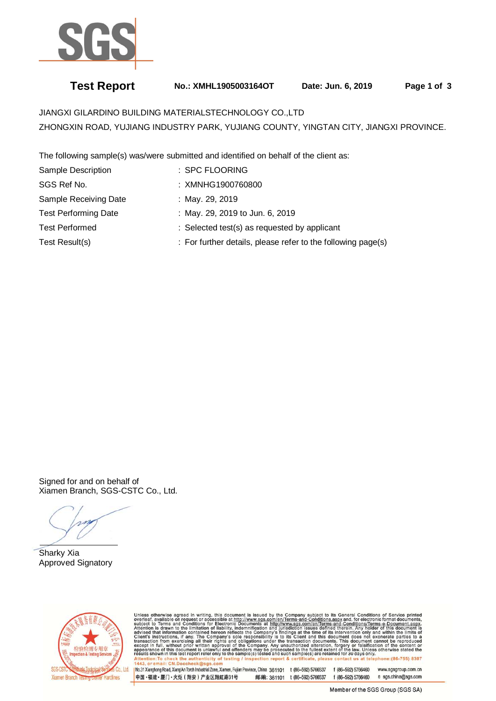

# **Test Report No.: XMHL1905003164OT Date: Jun. 6, 2019 Page 1 of 3**

JIANGXI GILARDINO BUILDING MATERIALSTECHNOLOGY CO.,LTD ZHONGXIN ROAD, YUJIANG INDUSTRY PARK, YUJIANG COUNTY, YINGTAN CITY, JIANGXI PROVINCE.

The following sample(s) was/were submitted and identified on behalf of the client as:

| Sample Description          | : SPC FLOORING                                               |
|-----------------------------|--------------------------------------------------------------|
| SGS Ref No.                 | : XMNHG1900760800                                            |
| Sample Receiving Date       | : May. 29, 2019                                              |
| <b>Test Performing Date</b> | : May. 29, 2019 to Jun. 6, 2019                              |
| <b>Test Performed</b>       | : Selected test(s) as requested by applicant                 |
| Test Result(s)              | : For further details, please refer to the following page(s) |

Signed for and on behalf of Xiamen Branch, SGS-CSTC Co., Ltd.

ĺ Sharky Xia Approved Signatory



Unless otherwise agreed in writing, this document is issued by the Company subject to its General Conditions of Service printed overleaf, available on request or accessible at http://www.sgs.com/en/Terms-and-Conditions.as

No.31 Xianghong Road, Xiang'An Torch Industrial Zone, Xiamen, Fujian Province, China 361101 t (86-592) 5766537 f (86-592) 5766460 www.sasaroup.com.cn 中国·福建·厦门·火炬 (翔安) 产业区翔虹路31号 邮编: 361101 t (86-592) 5766537 f (86-592) 5766460 e sgs.china@sgs.com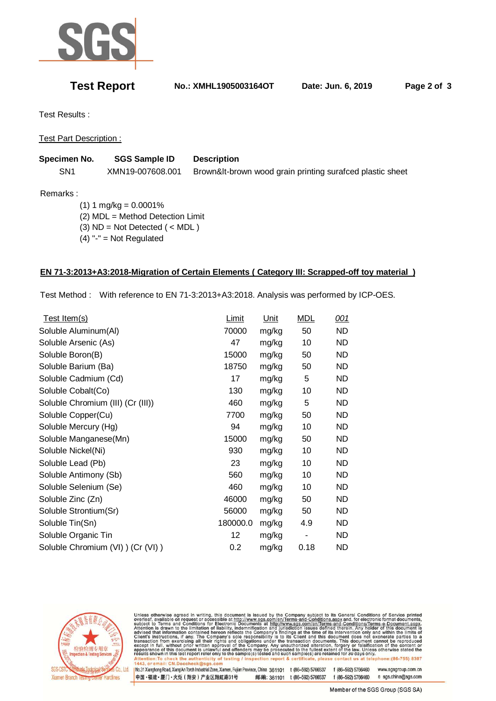

**Test Report No.: XMHL1905003164OT Date: Jun. 6, 2019 Page 2 of 3** 

Test Results :

Test Part Description :

| Specimen No.    | <b>SGS Sample ID</b> | <b>Description</b>                                        |
|-----------------|----------------------|-----------------------------------------------------------|
| SN <sub>1</sub> | XMN19-007608.001     | Brown&It-brown wood grain printing surafced plastic sheet |

Remarks :

 $(1) 1 mg/kg = 0.0001%$  (2) MDL = Method Detection Limit (3) ND = Not Detected ( < MDL )  $(4)$  "-" = Not Regulated

### **EN 71-3:2013+A3:2018-Migration of Certain Elements ( Category III: Scrapped-off toy material )**

Test Method : With reference to EN 71-3:2013+A3:2018. Analysis was performed by ICP-OES.

| Test Item(s)                      | Limit    | Unit  | <b>MDL</b> | 001       |
|-----------------------------------|----------|-------|------------|-----------|
| Soluble Aluminum(Al)              | 70000    | mg/kg | 50         | <b>ND</b> |
| Soluble Arsenic (As)              | 47       | mg/kg | 10         | <b>ND</b> |
| Soluble Boron(B)                  | 15000    | mg/kg | 50         | <b>ND</b> |
| Soluble Barium (Ba)               | 18750    | mg/kg | 50         | <b>ND</b> |
| Soluble Cadmium (Cd)              | 17       | mg/kg | 5          | ND.       |
| Soluble Cobalt(Co)                | 130      | mg/kg | 10         | <b>ND</b> |
| Soluble Chromium (III) (Cr (III)) | 460      | mg/kg | 5          | <b>ND</b> |
| Soluble Copper(Cu)                | 7700     | mg/kg | 50         | <b>ND</b> |
| Soluble Mercury (Hg)              | 94       | mg/kg | 10         | ND        |
| Soluble Manganese(Mn)             | 15000    | mg/kg | 50         | <b>ND</b> |
| Soluble Nickel(Ni)                | 930      | mg/kg | 10         | ND.       |
| Soluble Lead (Pb)                 | 23       | mg/kg | 10         | <b>ND</b> |
| Soluble Antimony (Sb)             | 560      | mg/kg | 10         | <b>ND</b> |
| Soluble Selenium (Se)             | 460      | mg/kg | 10         | ND.       |
| Soluble Zinc (Zn)                 | 46000    | mg/kg | 50         | <b>ND</b> |
| Soluble Strontium(Sr)             | 56000    | mg/kg | 50         | <b>ND</b> |
| Soluble Tin(Sn)                   | 180000.0 | mg/kg | 4.9        | <b>ND</b> |
| Soluble Organic Tin               | 12       | mg/kg |            | ND        |
| Soluble Chromium (VI)) (Cr (VI))  | 0.2      | mg/kg | 0.18       | <b>ND</b> |
|                                   |          |       |            |           |



Unless otherwise agreed in writing, this document is issued by the Company subject to its General Conditions of Service printed<br>overleaf, available on request or accessible at http://www.sgs.com/en/Terms-and-Conditions.asp

No.31 Xianghong Road, Xiang'An Torch Industrial Zone, Xiamen, Fujian Province, China 361101 t (86-592) 5766537 f (86-592) 5766460 www.sgsgroup.com.cn 中国·福建·厦门·火炬 (翔安) 产业区翔虹路31号 邮编: 361101 t (86-592) 5766537 f (86-592) 5766460 e sgs.china@sgs.com